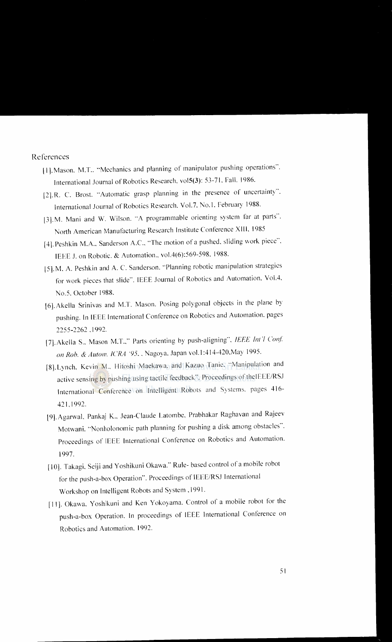References

- II]. Mason. M.T .. "Mechanics and planning of manipulator pushing operations". International Journal of Robotics Research. vo\5(3): 53-7 I. Fall. 1986.
- [2].R. C. Brost. "Automatic grasp planning in the presence of uncertainty". International Journal of Robotics Research. Vol.7. No.1. February 1988.
- [3].M. Mani and W. Wilson. "A programmable orienting system far at parts". North American Manufacturing Research Institute Conference XIII. 1985
- [4]. Peshkin M.A., Sanderson A.C., "The motion of a pushed, sliding work piece". IEEE J. on Robotic. & Automation., vol.4(6):569-598. 1988.
- 15]. M. A. Peshkin and A. C. Sanderson. ··Planning robotic manipulation strategies for work pieces that slide". IEEE Journal of Robotics and Automation. VolA. No.5. October 1988.
- [6].Akella Srinivas and M.T. Mason. Posing polygonal objects in the plane by pushing. In IEEE International Conference on Robotics and Automation. pages 2255-2262 .1992.
- [7]. Akella S., Mason M.T.," Parts orienting by push-aligning", IEEE Int \ Conf. *on Rob. & Autom. JCRA '95 ..* Nagoya. Japan vol.l :414-420.May 1995.
- [8]. Lynch, Kevin M., Hitoshi Maekawa, and Kazuo Tanie. "Manipulation and active sensing by pushing using tactile feedback". Proceedings of the IEEE/RSJ International Conference on Intelligent Robots and Systems. pages 416- 421.1992.
- [9]. Agarwal, Pankaj K., Jean-Claude Latombe, Prabhakar Raghavan and Rajeev Motwani. "Nonholonomic path planning for pushing a disk among obstacles". Proceedings of IEEE International Conference on Robotics and Automation. 1997.
- [10]. Takagi. Seiji and Yoshikuni Okawa." Rule- based control ofa mobile robot for the push-a-box Operation". Proceedings of IEEE/RSJ International Workshop on Intelligent Robots and System ,1991.
- [11]. Okawa, Yoshikuni and Ken Yokoyama. Control of a mobile robot for the push-a-box Operation. In proceedings of IEEE International Conference on Robotics and Automation. 1992.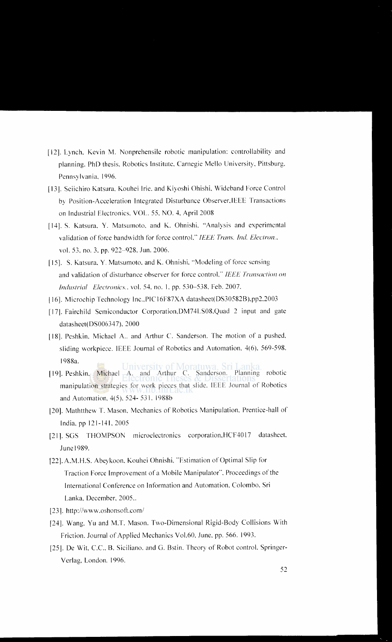- [12]. Lynch, Kevin M. Nonprehensile robotic manipulation: controllability and planning. PhD thesis. Robotics Institute. Carnegie Mello University. Pittsburg. Pennsylvania. 1996.
- [13]. Seiichiro Katsura, Kouhei Irie. and Kiyoshi Ohishi, Wideband Force Control by Position-Acceleration Integrated Disturbance Observer.IEEE Transactions on Industrial Electronics. VOL. 55. NO.4, April 2008
- [14]. S. Katsura, Y. Matsumoto, and K. Ohnishi, "Analysis and experimental validation of force bandwidth for force control." IEEE Trans. Ind. Electron., vol. 53. no. 3. pp. 922~928.Jun. 2006.
- [15]. S. Katsura, Y. Matsumoto, and K. Ohnishi, "Modeling of force sensing and validation of disturbance observer for force control," IEEE Transaction on *Industrial Electronics ..* vol. 54. no. 1. pp. 530~538. Feb. 2007.
- ]16]. Microchip Technology Inc., PIC 16F87XA datasheet(DS30582B).pp2.2003
- [17]. Fairchild Semiconductor Corporation.DM74LS08.Quad 2 input and gate datasheet(DS006347), 2000
- [18]. Peshkin, Michael A.. and Arthur C. Sanderson. The motion of a pushed, sliding workpiece. IEEE Journal of Robotics and Automation. 4(6). 569-598. 1988a.
- University of Moratuwa, Sri Lanka [19]. Peshkin. Michael A. and Arthur C. Sanderson. Planning robotic manipulation strategies for work pieces that slide. IEEE Journal of Robotics and Automation, 4(5). 524- 531. 1988b
- [20]. Mathtthew T. Mason, Mechanics of Robotics Manipulation, Prentice-hall of India, pp 121-141.2005
- [21]. SGS THOMPSON microelectronics corporation, HCF4017 datasheet, June 1989.
- [22]. A.M.H.S. Abeykoon, Kouhei Ohnishi, "Estimation of Optimal Slip for Traction Force Improvement of a Mobile Manipulator"'. Proceedings of the International Conference on Information and Automation. Colombo. Sri Lanka. December, 2005..
- [23]. http://www.oshonsoft.com/
- [24]. Wang. Yu and M.T. Mason. Two-Dimensional Rigid-Body Collisions With Friction. Journal of Applied Mechanics Vol.60, June, pp. 566. 1993.
- [25]. De Wit, C.C., B. Siciliano. and G. Bstin. Theory of Robot control. Springer-Verlag. London. 1996.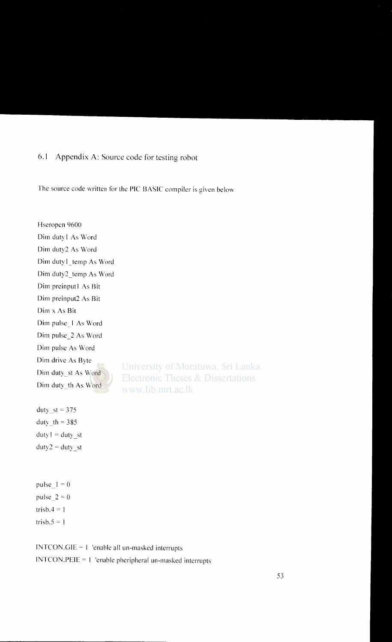# 6.1 Appendix A: Source code for testing robot

The source code written for the PIC BASIC compiler is given below

Hseropen 9600 Dim duty! As Word Dim duty2 As Word Dim duty1 temp As Word Dim duty2\_temp As Word Dim preinputl As Bit Dim preinput2 As Bit Dim x As Bit Dim pulse\_! As Word Dim pulse\_2 As Word Dim pulse As Word Dim drive As Byte University of Moratuwa, Sri Lanka. Dim duty st As Word **Electronic Theses & Dissertations** Dim duty\_th As Word www.lib.mrt.ac.lk

duty  $st = 375$ duty  $th = 385$  $duty! = duty$  st  $duty2 = duty$  st

pulse  $1 = 0$ pulse  $2 = 0$ trisb. $4 = 1$ trisb. $5 = 1$ 

 $INTCON.GIE = 1$  'enable all un-masked interrupts INTCON.PEIE = I 'enable pheripheral un-masked interrupts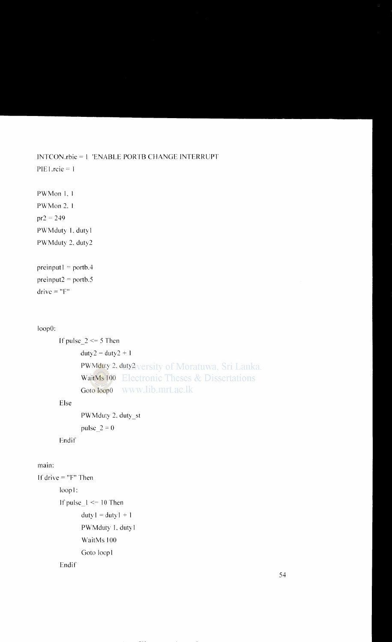```
INTCON.rbie = 1 'ENABLE PORTB CHANGE INTERRUPT
PIE1.rcie = 1
```

```
PWMon 1.1
PWMon 2.1
pr2 = 249PWMduty 1, duty1
PWMduty 2, duty2
```

```
preinput = portb.4preinput2 = portb.5drive = "F"
```
#### loop0:

```
If pulse_2 \le 5 Then
      duty2 = duty2 + 1PWMduty 2, duty2versity of Moratuwa, Sri Lanka.
      WaitMs 100 Electronic Theses & Dissertations
                www.lib.mrt.ac.lk
     Goto loop0
```
## Else

PWMduty 2, duty\_st pulse  $2 = 0$ 

Endif

## main:

```
If drive = "F" Then
       loop!:
       If pulse 1 \le 10 Then
              duty1 = duty1 + 1PWMduty 1, duty1
              WaitMs 100
              Goto loop1
       Endif
```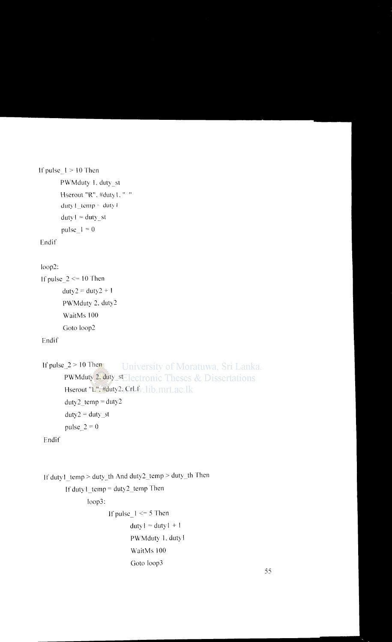```
If pulse I > 10 Then
       PWMduty I. duty_st 
       Hserout "R". #duty1. " "
       duty1_temp = duty1duty_1 = duty_stpulse_1 = 0
```
Endif

```
loop2:
```

```
If pulse 2 \le 10 Then
       duty2 = duty2 + 1PWMduty 2. duty2 
       WaitMs 100 
       Goto loop2
```
Endif

```
University of Moratuwa, Sri Lanka.
If pulse 2 > 10 Then
      PWMduty 2. duty_sElectronic Theses & Dissertations
      Hserout "L", #duty2. CrLfv. lib. mrt. ac. lk
      duty2 temp = duty2duty2 = duty_stpulse 2=0
```
Endif

```
If dutyl_temp > duty_th And duty2_temp > duty_th Then 
       If dutyl_temp = duty2_temp Then
              loop3: 
                     If pulse 1 \le 5 Then
                            duty! = duty! + 1PWMduty I. duty I 
                            WaitMs 100 
                            Goto Joop3
```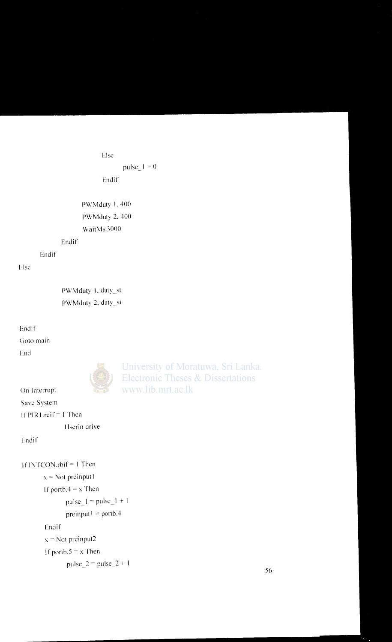```
Else
```
pulse\_ $1 = 0$ 

Endif

**PWMduty 1, 400** PWMduty 2, 400 WaitMs 3000

#### Endif

Endif

# Else

PWMduty 1, duty\_st PWMduty 2, duty\_st

# Endif

Goto main

End



University of Moratuwa, Sri Lanka. **Electronic Theses & Dissertations** www.lib.mrt.ac.lk

```
On Interrupt
Save System
```
If PIR1.reif =  $1$  Then

Hserin drive

```
Endif
```

```
If INTCON.rbif = 1 Then
       x = Not preinput1If portb.4 = x Then
              pulse 1 = pulse_1 + 1preinput l = portb.4
       Endif
       x = Not preinput2If portb.5 = x Then
               pulse 2 = \text{pulse}\_2 + 1
```